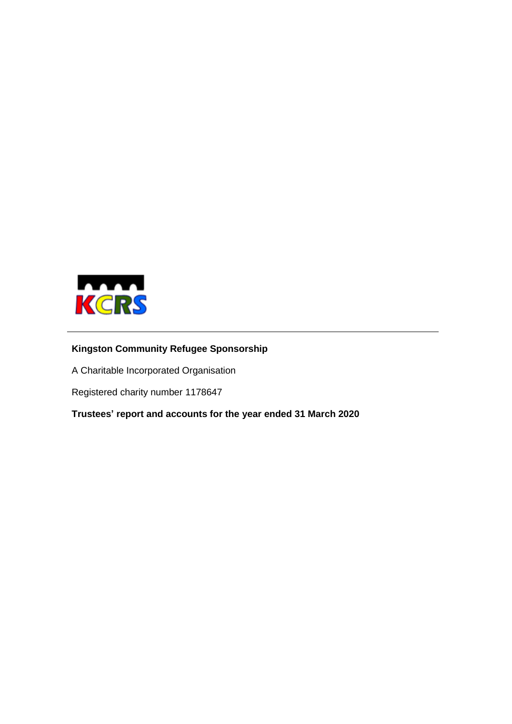

# **Kingston Community Refugee Sponsorship**

A Charitable Incorporated Organisation

Registered charity number 1178647

**Trustees' report and accounts for the year ended 31 March 2020**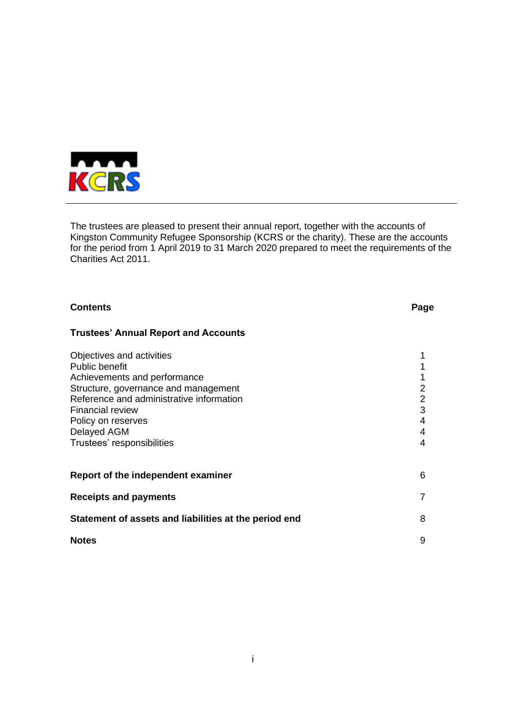

The trustees are pleased to present their annual report, together with the accounts of Kingston Community Refugee Sponsorship (KCRS or the charity). These are the accounts for the period from 1 April 2019 to 31 March 2020 prepared to meet the requirements of the Charities Act 2011.

| <b>Contents</b>                                                                                                                                                                                                                                               | Page                                           |
|---------------------------------------------------------------------------------------------------------------------------------------------------------------------------------------------------------------------------------------------------------------|------------------------------------------------|
| <b>Trustees' Annual Report and Accounts</b>                                                                                                                                                                                                                   |                                                |
| Objectives and activities<br>Public benefit<br>Achievements and performance<br>Structure, governance and management<br>Reference and administrative information<br><b>Financial review</b><br>Policy on reserves<br>Delayed AGM<br>Trustees' responsibilities | $\overline{2}$<br>$\frac{2}{3}$<br>4<br>4<br>4 |
| Report of the independent examiner                                                                                                                                                                                                                            | 6                                              |
| <b>Receipts and payments</b>                                                                                                                                                                                                                                  | 7                                              |
| Statement of assets and liabilities at the period end                                                                                                                                                                                                         | 8                                              |
| <b>Notes</b>                                                                                                                                                                                                                                                  | 9                                              |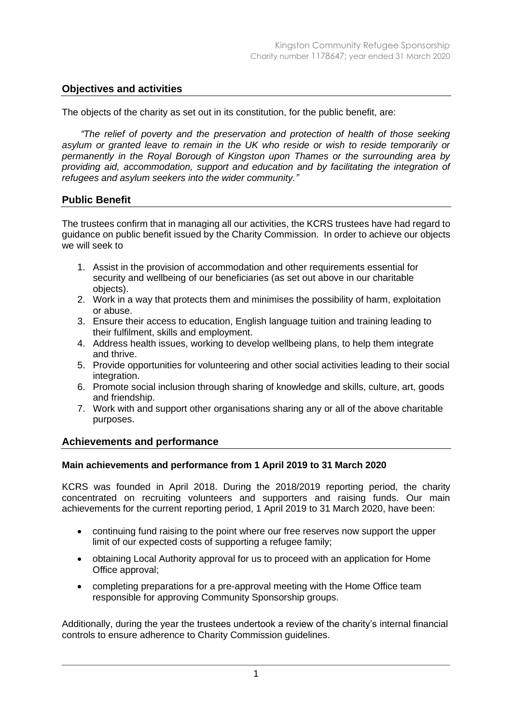# **Objectives and activities**

The objects of the charity as set out in its constitution, for the public benefit, are:

*"The relief of poverty and the preservation and protection of health of those seeking asylum or granted leave to remain in the UK who reside or wish to reside temporarily or permanently in the Royal Borough of Kingston upon Thames or the surrounding area by providing aid, accommodation, support and education and by facilitating the integration of refugees and asylum seekers into the wider community."*

# **Public Benefit**

The trustees confirm that in managing all our activities, the KCRS trustees have had regard to guidance on public benefit issued by the Charity Commission. In order to achieve our objects we will seek to

- 1. Assist in the provision of accommodation and other requirements essential for security and wellbeing of our beneficiaries (as set out above in our charitable objects).
- 2. Work in a way that protects them and minimises the possibility of harm, exploitation or abuse.
- 3. Ensure their access to education, English language tuition and training leading to their fulfilment, skills and employment.
- 4. Address health issues, working to develop wellbeing plans, to help them integrate and thrive.
- 5. Provide opportunities for volunteering and other social activities leading to their social integration.
- 6. Promote social inclusion through sharing of knowledge and skills, culture, art, goods and friendship.
- 7. Work with and support other organisations sharing any or all of the above charitable purposes.

# **Achievements and performance**

## **Main achievements and performance from 1 April 2019 to 31 March 2020**

KCRS was founded in April 2018. During the 2018/2019 reporting period, the charity concentrated on recruiting volunteers and supporters and raising funds. Our main achievements for the current reporting period, 1 April 2019 to 31 March 2020, have been:

- continuing fund raising to the point where our free reserves now support the upper limit of our expected costs of supporting a refugee family;
- obtaining Local Authority approval for us to proceed with an application for Home Office approval;
- completing preparations for a pre-approval meeting with the Home Office team responsible for approving Community Sponsorship groups.

Additionally, during the year the trustees undertook a review of the charity's internal financial controls to ensure adherence to Charity Commission guidelines.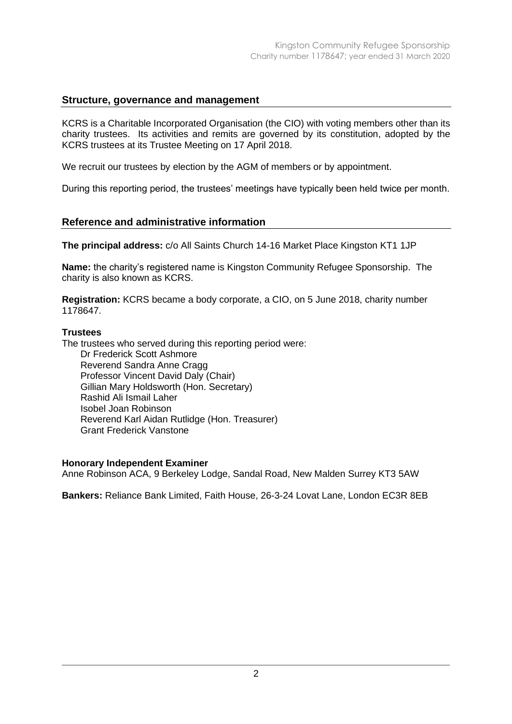# **Structure, governance and management**

KCRS is a Charitable Incorporated Organisation (the CIO) with voting members other than its charity trustees. Its activities and remits are governed by its constitution, adopted by the KCRS trustees at its Trustee Meeting on 17 April 2018.

We recruit our trustees by election by the AGM of members or by appointment.

During this reporting period, the trustees' meetings have typically been held twice per month.

## **Reference and administrative information**

**The principal address:** c/o All Saints Church 14-16 Market Place Kingston KT1 1JP

**Name:** the charity's registered name is Kingston Community Refugee Sponsorship. The charity is also known as KCRS.

**Registration:** KCRS became a body corporate, a CIO, on 5 June 2018, charity number 1178647.

#### **Trustees**

The trustees who served during this reporting period were: Dr Frederick Scott Ashmore Reverend Sandra Anne Cragg Professor Vincent David Daly (Chair) Gillian Mary Holdsworth (Hon. Secretary) Rashid Ali Ismail Laher Isobel Joan Robinson Reverend Karl Aidan Rutlidge (Hon. Treasurer) Grant Frederick Vanstone

#### **Honorary Independent Examiner**

Anne Robinson ACA, 9 Berkeley Lodge, Sandal Road, New Malden Surrey KT3 5AW

**Bankers:** Reliance Bank Limited, Faith House, 26-3-24 Lovat Lane, London EC3R 8EB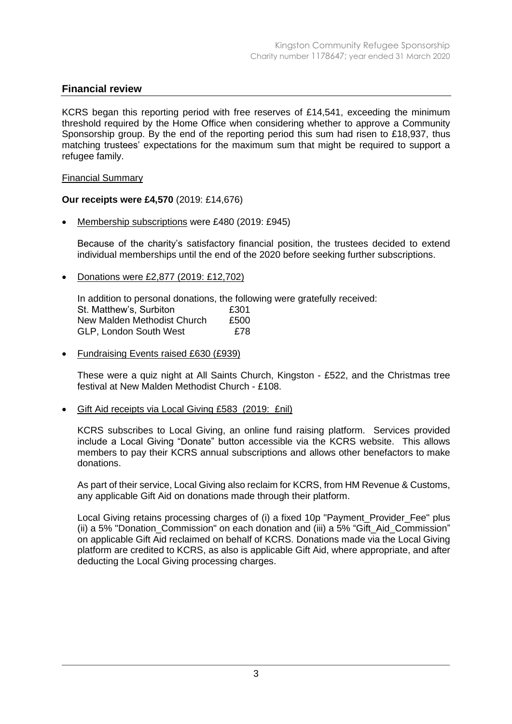# **Financial review**

KCRS began this reporting period with free reserves of £14,541, exceeding the minimum threshold required by the Home Office when considering whether to approve a Community Sponsorship group. By the end of the reporting period this sum had risen to £18,937, thus matching trustees' expectations for the maximum sum that might be required to support a refugee family.

## Financial Summary

# **Our receipts were £4,570** (2019: £14,676)

• Membership subscriptions were £480 (2019: £945)

Because of the charity's satisfactory financial position, the trustees decided to extend individual memberships until the end of the 2020 before seeking further subscriptions.

• Donations were £2,877 (2019: £12,702)

In addition to personal donations, the following were gratefully received: St. Matthew's, Surbiton 6301 New Malden Methodist Church £500 GLP, London South West E78

• Fundraising Events raised £630 (£939)

These were a quiz night at All Saints Church, Kingston - £522, and the Christmas tree festival at New Malden Methodist Church - £108.

• Gift Aid receipts via Local Giving £583 (2019: £nil)

KCRS subscribes to Local Giving, an online fund raising platform. Services provided include a Local Giving "Donate" button accessible via the KCRS website. This allows members to pay their KCRS annual subscriptions and allows other benefactors to make donations.

As part of their service, Local Giving also reclaim for KCRS, from HM Revenue & Customs, any applicable Gift Aid on donations made through their platform.

Local Giving retains processing charges of (i) a fixed 10p "Payment\_Provider\_Fee" plus (ii) a 5% "Donation\_Commission" on each donation and (iii) a 5% "Gift\_Aid\_Commission" on applicable Gift Aid reclaimed on behalf of KCRS. Donations made via the Local Giving platform are credited to KCRS, as also is applicable Gift Aid, where appropriate, and after deducting the Local Giving processing charges.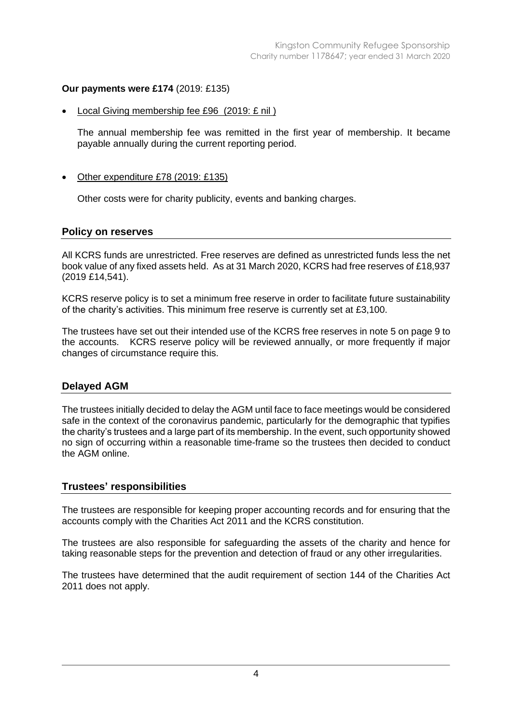# **Our payments were £174** (2019: £135)

• Local Giving membership fee £96 (2019: £ nil )

The annual membership fee was remitted in the first year of membership. It became payable annually during the current reporting period.

# Other expenditure £78 (2019: £135)

Other costs were for charity publicity, events and banking charges.

## **Policy on reserves**

All KCRS funds are unrestricted. Free reserves are defined as unrestricted funds less the net book value of any fixed assets held. As at 31 March 2020, KCRS had free reserves of £18,937 (2019 £14,541).

KCRS reserve policy is to set a minimum free reserve in order to facilitate future sustainability of the charity's activities. This minimum free reserve is currently set at £3,100.

The trustees have set out their intended use of the KCRS free reserves in note 5 on page 9 to the accounts. KCRS reserve policy will be reviewed annually, or more frequently if major changes of circumstance require this.

# **Delayed AGM**

The trustees initially decided to delay the AGM until face to face meetings would be considered safe in the context of the coronavirus pandemic, particularly for the demographic that typifies the charity's trustees and a large part of its membership. In the event, such opportunity showed no sign of occurring within a reasonable time-frame so the trustees then decided to conduct the AGM online.

## **Trustees' responsibilities**

The trustees are responsible for keeping proper accounting records and for ensuring that the accounts comply with the Charities Act 2011 and the KCRS constitution.

The trustees are also responsible for safeguarding the assets of the charity and hence for taking reasonable steps for the prevention and detection of fraud or any other irregularities.

The trustees have determined that the audit requirement of section 144 of the Charities Act 2011 does not apply.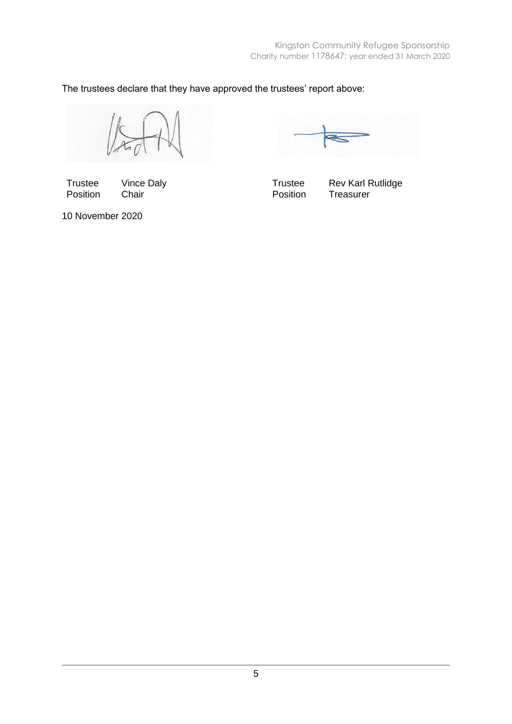The trustees declare that they have approved the trustees' report above:

Trustee Vince Daly **Trustee** Rev Karl Rutlidge Position Chair **Chair** Position Treasurer

10 November 2020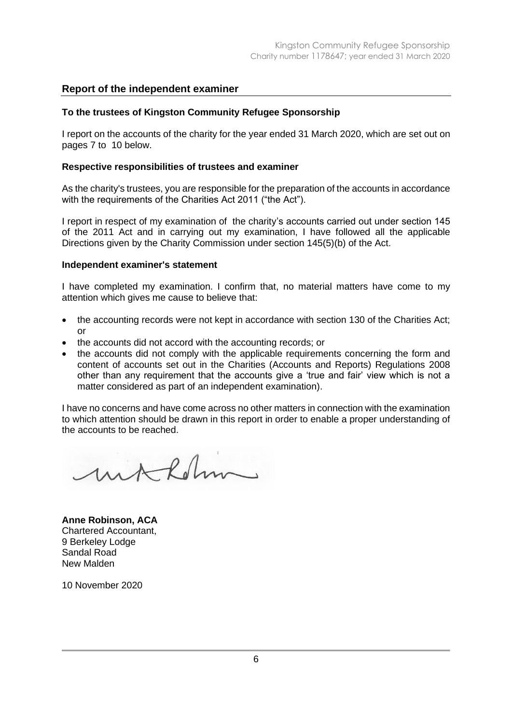# **Report of the independent examiner**

#### **To the trustees of Kingston Community Refugee Sponsorship**

I report on the accounts of the charity for the year ended 31 March 2020, which are set out on pages 7 to 10 below.

#### **Respective responsibilities of trustees and examiner**

As the charity's trustees, you are responsible for the preparation of the accounts in accordance with the requirements of the Charities Act 2011 ("the Act").

I report in respect of my examination of the charity's accounts carried out under section 145 of the 2011 Act and in carrying out my examination, I have followed all the applicable Directions given by the Charity Commission under section 145(5)(b) of the Act.

#### **Independent examiner's statement**

I have completed my examination. I confirm that, no material matters have come to my attention which gives me cause to believe that:

- the accounting records were not kept in accordance with section 130 of the Charities Act; or
- the accounts did not accord with the accounting records; or
- the accounts did not comply with the applicable requirements concerning the form and content of accounts set out in the Charities (Accounts and Reports) Regulations 2008 other than any requirement that the accounts give a 'true and fair' view which is not a matter considered as part of an independent examination).

I have no concerns and have come across no other matters in connection with the examination to which attention should be drawn in this report in order to enable a proper understanding of the accounts to be reached.

withdriv

**Anne Robinson, ACA** Chartered Accountant, 9 Berkeley Lodge Sandal Road New Malden

10 November 2020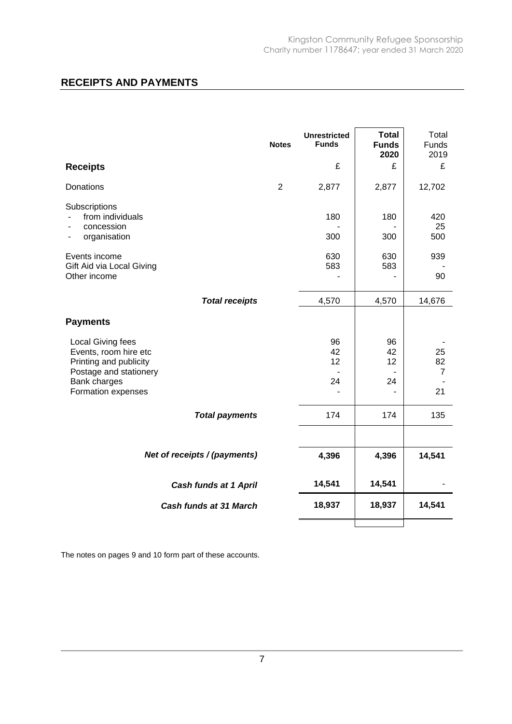# **RECEIPTS AND PAYMENTS**

|                                                                                                                                      | <b>Notes</b> | <b>Unrestricted</b><br><b>Funds</b> | <b>Total</b><br><b>Funds</b><br>2020 | Total<br>Funds<br>2019  |
|--------------------------------------------------------------------------------------------------------------------------------------|--------------|-------------------------------------|--------------------------------------|-------------------------|
| <b>Receipts</b>                                                                                                                      |              | £                                   | £                                    | £                       |
| Donations                                                                                                                            | 2            | 2,877                               | 2,877                                | 12,702                  |
| Subscriptions<br>from individuals<br>concession<br>organisation<br>Events income<br>Gift Aid via Local Giving                        |              | 180<br>300<br>630<br>583            | 180<br>300<br>630<br>583             | 420<br>25<br>500<br>939 |
| Other income                                                                                                                         |              |                                     |                                      | 90                      |
| <b>Total receipts</b>                                                                                                                |              | 4,570                               | 4,570                                | 14,676                  |
| <b>Payments</b>                                                                                                                      |              |                                     |                                      |                         |
| Local Giving fees<br>Events, room hire etc<br>Printing and publicity<br>Postage and stationery<br>Bank charges<br>Formation expenses |              | 96<br>42<br>12<br>24                | 96<br>42<br>12<br>24                 | 25<br>82<br>7<br>21     |
| <b>Total payments</b>                                                                                                                |              | 174                                 | 174                                  | 135                     |
|                                                                                                                                      |              |                                     |                                      |                         |
| Net of receipts / (payments)                                                                                                         |              | 4,396                               | 4,396                                | 14,541                  |
| <b>Cash funds at 1 April</b>                                                                                                         |              | 14,541                              | 14,541                               |                         |
| Cash funds at 31 March                                                                                                               |              | 18,937                              | 18,937                               | 14,541                  |
|                                                                                                                                      |              |                                     |                                      |                         |

The notes on pages 9 and 10 form part of these accounts.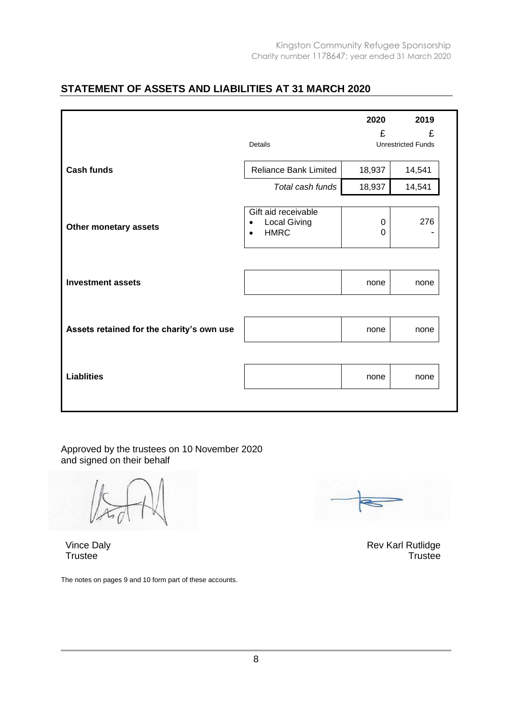# **STATEMENT OF ASSETS AND LIABILITIES AT 31 MARCH 2020**

|                                           |                                                                                     | 2020          | 2019                           |
|-------------------------------------------|-------------------------------------------------------------------------------------|---------------|--------------------------------|
|                                           | Details                                                                             | £             | £<br><b>Unrestricted Funds</b> |
| <b>Cash funds</b>                         | <b>Reliance Bank Limited</b>                                                        | 18,937        | 14,541                         |
|                                           | Total cash funds                                                                    | 18,937        | 14,541                         |
| Other monetary assets                     | Gift aid receivable<br><b>Local Giving</b><br>$\bullet$<br><b>HMRC</b><br>$\bullet$ | 0<br>$\Omega$ | 276                            |
| <b>Investment assets</b>                  |                                                                                     | none          | none                           |
| Assets retained for the charity's own use |                                                                                     | none          | none                           |
| <b>Liablities</b>                         |                                                                                     | none          | none                           |

Approved by the trustees on 10 November 2020 and signed on their behalf

Vince Daly **Trustee** 

The notes on pages 9 and 10 form part of these accounts.

Rev Karl Rutlidge **Trustee**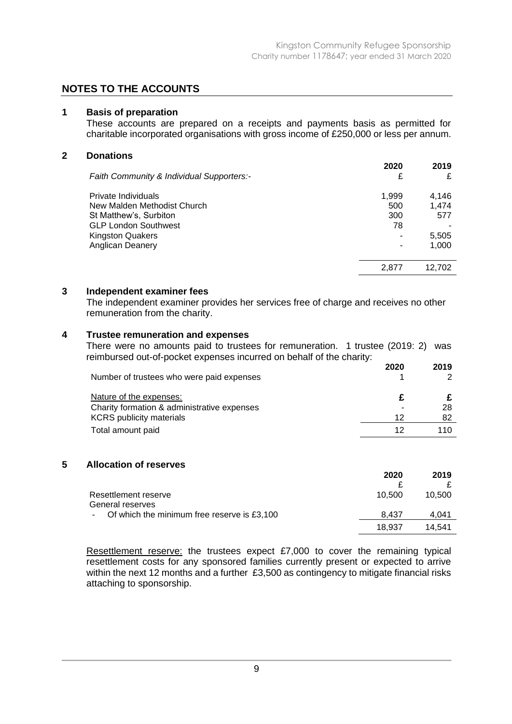# **NOTES TO THE ACCOUNTS**

### **1 Basis of preparation**

These accounts are prepared on a receipts and payments basis as permitted for charitable incorporated organisations with gross income of £250,000 or less per annum.

#### **2 Donations**

| Faith Community & Individual Supporters:- | 2020<br>£ | 2019<br>£ |
|-------------------------------------------|-----------|-----------|
| Private Individuals                       | 1,999     | 4,146     |
| New Malden Methodist Church               | 500       | 1.474     |
| St Matthew's, Surbiton                    | 300       | 577       |
| <b>GLP London Southwest</b>               | 78        |           |
| <b>Kingston Quakers</b>                   |           | 5,505     |
| Anglican Deanery                          |           | 1,000     |
|                                           |           |           |
|                                           | 2.877     | 12,702    |
|                                           |           |           |

## **3 Independent examiner fees**

The independent examiner provides her services free of charge and receives no other remuneration from the charity.

# **4 Trustee remuneration and expenses**

There were no amounts paid to trustees for remuneration. 1 trustee (2019: 2) was reimbursed out-of-pocket expenses incurred on behalf of the charity:

| Number of trustees who were paid expenses   | 2020 | 2019 |
|---------------------------------------------|------|------|
| Nature of the expenses:                     |      |      |
| Charity formation & administrative expenses |      | 28   |
| <b>KCRS</b> publicity materials             | 12   | 82   |
| Total amount paid                           | 12   | 110  |

#### **5 Allocation of reserves**

|                                               | 2020   | 2019   |
|-----------------------------------------------|--------|--------|
|                                               |        |        |
| Resettlement reserve                          | 10.500 | 10.500 |
| General reserves                              |        |        |
| - Of which the minimum free reserve is £3,100 | 8.437  | 4.041  |
|                                               | 18.937 | 14.541 |

Resettlement reserve: the trustees expect £7,000 to cover the remaining typical resettlement costs for any sponsored families currently present or expected to arrive within the next 12 months and a further £3,500 as contingency to mitigate financial risks attaching to sponsorship.